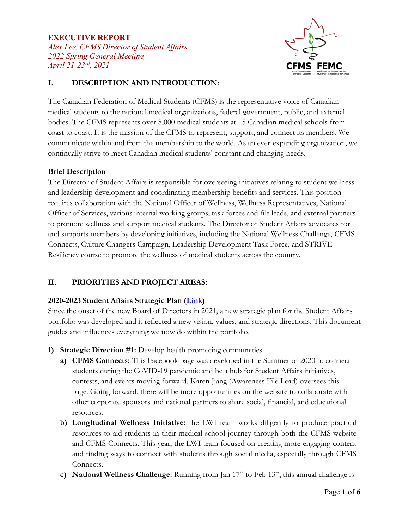## **EXECUTIVE REPORT** *Alex Lee, CFMS Director of Student Affairs 2022 Spring General Meeting April 21-23rd, 2021*



# **I. DESCRIPTION AND INTRODUCTION:**

The Canadian Federation of Medical Students (CFMS) is the representative voice of Canadian medical students to the national medical organizations, federal government, public, and external bodies. The CFMS represents over 8,000 medical students at 15 Canadian medical schools from coast to coast. It is the mission of the CFMS to represent, support, and connect its members. We communicate within and from the membership to the world. As an ever-expanding organization, we continually strive to meet Canadian medical students' constant and changing needs.

## **Brief Description**

The Director of Student Affairs is responsible for overseeing initiatives relating to student wellness and leadership development and coordinating membership benefits and services. This position requires collaboration with the National Officer of Wellness, Wellness Representatives, National Officer of Services, various internal working groups, task forces and file leads, and external partners to promote wellness and support medical students. The Director of Student Affairs advocates for and supports members by developing initiatives, including the National Wellness Challenge, CFMS Connects, Culture Changers Campaign, Leadership Development Task Force, and STRIVE Resiliency course to promote the wellness of medical students across the country.

# **II. PRIORITIES AND PROJECT AREAS:**

## **2020-2023 Student Affairs Strategic Plan [\(Link\)](https://docs.google.com/document/d/1QQm8YNaoID4o7wPMdiCxc-4vhecpQQQZsNvArnPrwjE/edit)**

Since the onset of the new Board of Directors in 2021, a new strategic plan for the Student Affairs portfolio was developed and it reflected a new vision, values, and strategic directions. This document guides and influences everything we now do within the portfolio.

- **1) Strategic Direction #1:** Develop health-promoting communities
	- **a) CFMS Connects:** This Facebook page was developed in the Summer of 2020 to connect students during the CoVID-19 pandemic and be a hub for Student Affairs initiatives, contests, and events moving forward. Karen Jiang (Awareness File Lead) oversees this page. Going forward, there will be more opportunities on the website to collaborate with other corporate sponsors and national partners to share social, financial, and educational resources.
	- **b) Longitudinal Wellness Initiative:** the LWI team works diligently to produce practical resources to aid students in their medical school journey through both the CFMS website and CFMS Connects. This year, the LWI team focused on creating more engaging content and finding ways to connect with students through social media, especially through CFMS Connects.
	- **c) National Wellness Challenge:** Running from Jan  $17<sup>th</sup>$  to Feb  $13<sup>th</sup>$ , this annual challenge is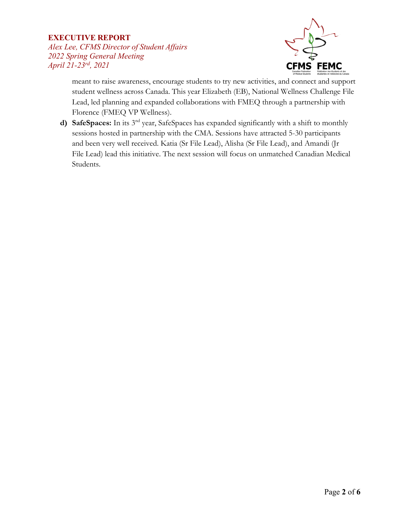## **EXECUTIVE REPORT**

*Alex Lee, CFMS Director of Student Affairs 2022 Spring General Meeting April 21-23rd, 2021*



meant to raise awareness, encourage students to try new activities, and connect and support student wellness across Canada. This year Elizabeth (EB), National Wellness Challenge File Lead, led planning and expanded collaborations with FMEQ through a partnership with Florence (FMEQ VP Wellness).

**d) SafeSpaces:** In its 3nd year, SafeSpaces has expanded significantly with a shift to monthly sessions hosted in partnership with the CMA. Sessions have attracted 5-30 participants and been very well received. Katia (Sr File Lead), Alisha (Sr File Lead), and Amandi (Jr File Lead) lead this initiative. The next session will focus on unmatched Canadian Medical Students.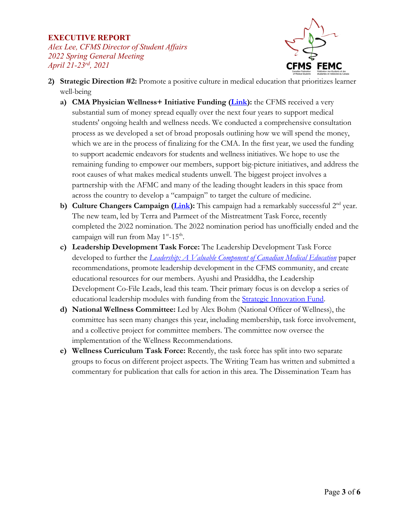# **EXECUTIVE REPORT** *Alex Lee, CFMS Director of Student Affairs 2022 Spring General Meeting*

*April 21-23rd, 2021*



- **2) Strategic Direction #2:** Promote a positive culture in medical education that prioritizes learner well-being
	- **a) CMA Physician Wellness+ Initiative Funding [\(Link\)](https://www.cma.ca/news/physician-wellness-initiative-dedicates-15-million-support-physicians-and-medical-learners):** the CFMS received a very substantial sum of money spread equally over the next four years to support medical students' ongoing health and wellness needs. We conducted a comprehensive consultation process as we developed a set of broad proposals outlining how we will spend the money, which we are in the process of finalizing for the CMA. In the first year, we used the funding to support academic endeavors for students and wellness initiatives. We hope to use the remaining funding to empower our members, support big-picture initiatives, and address the root causes of what makes medical students unwell. The biggest project involves a partnership with the AFMC and many of the leading thought leaders in this space from across the country to develop a "campaign" to target the culture of medicine.
	- **b) Culture Changers Campaign [\(Link\)](https://www.cfms.org/what-we-do/student-affairs/culture-changers-campaign)**: This campaign had a remarkably successful 2<sup>nd</sup> year. The new team, led by Terra and Parmeet of the Mistreatment Task Force, recently completed the 2022 nomination. The 2022 nomination period has unofficially ended and the campaign will run from May  $1^{st}$ -15<sup>th</sup>.
	- **c) Leadership Development Task Force:** The Leadership Development Task Force developed to further the *[Leadership: A Valuable Component of Canadian Medical Education](https://drive.google.com/file/d/13iwzbYvjfMoOczbv_fo9a6oa9tEyZLyK/view?usp=sharing)* paper recommendations, promote leadership development in the CFMS community, and create educational resources for our members. Ayushi and Prasiddha, the Leadership Development Co-File Leads, lead this team. Their primary focus is on develop a series of educational leadership modules with funding from the **Strategic Innovation Fund**.
	- **d) National Wellness Committee:** Led by Alex Bohm (National Officer of Wellness), the committee has seen many changes this year, including membership, task force involvement, and a collective project for committee members. The committee now oversee the implementation of the Wellness Recommendations.
	- **e) Wellness Curriculum Task Force:** Recently, the task force has split into two separate groups to focus on different project aspects. The Writing Team has written and submitted a commentary for publication that calls for action in this area. The Dissemination Team has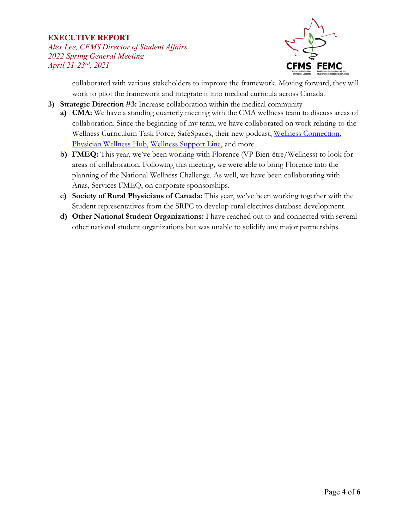### **EXECUTIVE REPORT**

*Alex Lee, CFMS Director of Student Affairs 2022 Spring General Meeting April 21-23rd, 2021*



collaborated with various stakeholders to improve the framework. Moving forward, they will work to pilot the framework and integrate it into medical curricula across Canada.

- **3) Strategic Direction #3:** Increase collaboration within the medical community
	- **a) CMA:** We have a standing quarterly meeting with the CMA wellness team to discuss areas of collaboration. Since the beginning of my term, we have collaborated on work relating to the Wellness Curriculum Task Force, SafeSpaces, their new podcast, [Wellness Connection,](https://www.cma.ca/physician-health-and-wellness/wellness-connection) [Physician Wellness Hub,](https://www.cma.ca/physician-wellness-hub) [Wellness Support Line, a](https://www.cma.ca/supportline)nd more.
	- **b) FMEQ:** This year, we've been working with Florence (VP Bien-être/Wellness) to look for areas of collaboration. Following this meeting, we were able to bring Florence into the planning of the National Wellness Challenge. As well, we have been collaborating with Anas, Services FMEQ, on corporate sponsorships.
	- **c) Society of Rural Physicians of Canada:** This year, we've been working together with the Student representatives from the SRPC to develop rural electives database development.
	- **d) Other National Student Organizations:** I have reached out to and connected with several other national student organizations but was unable to solidify any major partnerships.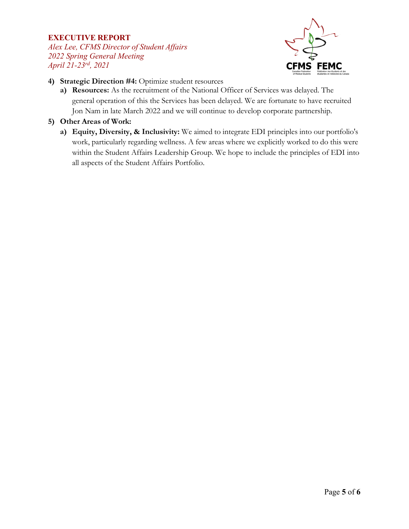### **EXECUTIVE REPORT**

*Alex Lee, CFMS Director of Student Affairs 2022 Spring General Meeting April 21-23rd, 2021*



- **4) Strategic Direction #4:** Optimize student resources
	- **a) Resources:** As the recruitment of the National Officer of Services was delayed. The general operation of this the Services has been delayed. We are fortunate to have recruited Jon Nam in late March 2022 and we will continue to develop corporate partnership.
- **5) Other Areas of Work:**
	- **a) Equity, Diversity, & Inclusivity:** We aimed to integrate EDI principles into our portfolio's work, particularly regarding wellness. A few areas where we explicitly worked to do this were within the Student Affairs Leadership Group. We hope to include the principles of EDI into all aspects of the Student Affairs Portfolio.